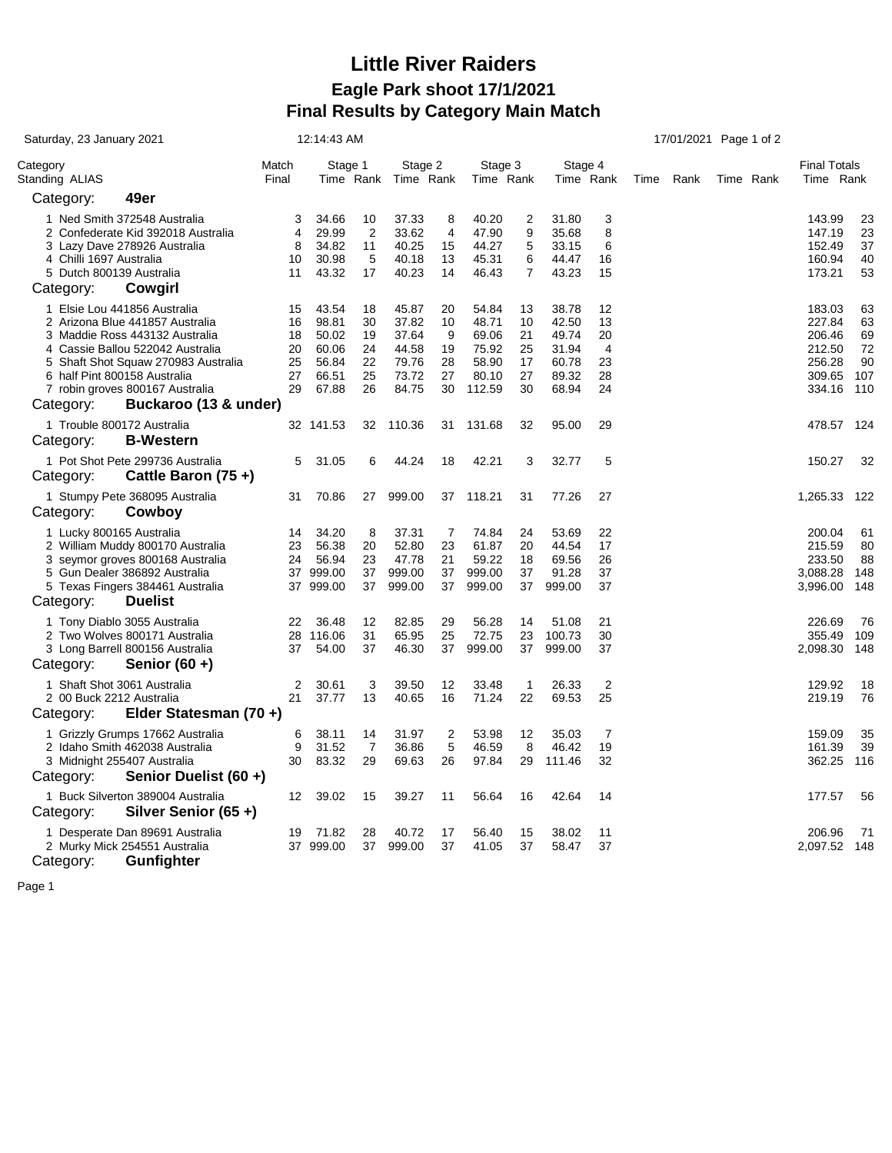## **Little River Raiders Eagle Park shoot 17/1/2021 Final Results by Category Main Match**

| Saturday, 23 January 2021                                                                                                                                                                                                                                                             |                                        | 12:14:43 AM                                                 |                                        |                                                             |                                       |                                                              | 17/01/2021 Page 1 of 2                 |                                                             |                                                    |  |           |  |           |                                                                    |                                          |
|---------------------------------------------------------------------------------------------------------------------------------------------------------------------------------------------------------------------------------------------------------------------------------------|----------------------------------------|-------------------------------------------------------------|----------------------------------------|-------------------------------------------------------------|---------------------------------------|--------------------------------------------------------------|----------------------------------------|-------------------------------------------------------------|----------------------------------------------------|--|-----------|--|-----------|--------------------------------------------------------------------|------------------------------------------|
| Category<br>Standing ALIAS                                                                                                                                                                                                                                                            | Match<br>Final                         | Stage 1<br>Time Rank                                        |                                        | Stage 2<br>Time Rank                                        |                                       | Stage 3<br>Time Rank                                         |                                        | Stage 4<br>Time Rank                                        |                                                    |  | Time Rank |  | Time Rank | <b>Final Totals</b><br>Time Rank                                   |                                          |
| 49er<br>Category:                                                                                                                                                                                                                                                                     |                                        |                                                             |                                        |                                                             |                                       |                                                              |                                        |                                                             |                                                    |  |           |  |           |                                                                    |                                          |
| 1 Ned Smith 372548 Australia<br>2 Confederate Kid 392018 Australia<br>3 Lazy Dave 278926 Australia<br>4 Chilli 1697 Australia<br>5 Dutch 800139 Australia<br>Category:<br>Cowgirl                                                                                                     | 3<br>4<br>8<br>10<br>11                | 34.66<br>29.99<br>34.82<br>30.98<br>43.32                   | 10<br>2<br>11<br>5<br>17               | 37.33<br>33.62<br>40.25<br>40.18<br>40.23                   | 8<br>4<br>15<br>13<br>14              | 40.20<br>47.90<br>44.27<br>45.31<br>46.43                    | 2<br>9<br>5<br>6<br>7                  | 31.80<br>35.68<br>33.15<br>44.47<br>43.23                   | 3<br>8<br>6<br>16<br>15                            |  |           |  |           | 143.99<br>147.19<br>152.49<br>160.94<br>173.21                     | 23<br>23<br>37<br>40<br>53               |
| 1 Elsie Lou 441856 Australia<br>2 Arizona Blue 441857 Australia<br>3 Maddie Ross 443132 Australia<br>4 Cassie Ballou 522042 Australia<br>5 Shaft Shot Squaw 270983 Australia<br>6 half Pint 800158 Australia<br>7 robin groves 800167 Australia<br>Buckaroo (13 & under)<br>Category: | 15<br>16<br>18<br>20<br>25<br>27<br>29 | 43.54<br>98.81<br>50.02<br>60.06<br>56.84<br>66.51<br>67.88 | 18<br>30<br>19<br>24<br>22<br>25<br>26 | 45.87<br>37.82<br>37.64<br>44.58<br>79.76<br>73.72<br>84.75 | 20<br>10<br>9<br>19<br>28<br>27<br>30 | 54.84<br>48.71<br>69.06<br>75.92<br>58.90<br>80.10<br>112.59 | 13<br>10<br>21<br>25<br>17<br>27<br>30 | 38.78<br>42.50<br>49.74<br>31.94<br>60.78<br>89.32<br>68.94 | 12<br>13<br>20<br>$\overline{4}$<br>23<br>28<br>24 |  |           |  |           | 183.03<br>227.84<br>206.46<br>212.50<br>256.28<br>309.65<br>334.16 | 63<br>63<br>69<br>72<br>90<br>107<br>110 |
| 1 Trouble 800172 Australia<br><b>B-Western</b><br>Category:                                                                                                                                                                                                                           |                                        | 32 141.53                                                   | 32                                     | 110.36                                                      | 31                                    | 131.68                                                       | 32                                     | 95.00                                                       | 29                                                 |  |           |  |           | 478.57 124                                                         |                                          |
| 1 Pot Shot Pete 299736 Australia<br>Cattle Baron $(75 +)$<br>Category:                                                                                                                                                                                                                | 5                                      | 31.05                                                       | 6                                      | 44.24                                                       | 18                                    | 42.21                                                        | 3                                      | 32.77                                                       | 5                                                  |  |           |  |           | 150.27                                                             | 32                                       |
| 1 Stumpy Pete 368095 Australia<br>Category:<br>Cowboy                                                                                                                                                                                                                                 | 31                                     | 70.86                                                       | 27                                     | 999.00                                                      | 37                                    | 118.21                                                       | 31                                     | 77.26                                                       | 27                                                 |  |           |  |           | 1,265.33 122                                                       |                                          |
| 1 Lucky 800165 Australia<br>2 William Muddy 800170 Australia<br>3 seymor groves 800168 Australia<br>5 Gun Dealer 386892 Australia<br>5 Texas Fingers 384461 Australia<br>Category:<br><b>Duelist</b>                                                                                  | 14<br>23<br>24                         | 34.20<br>56.38<br>56.94<br>37 999.00<br>37 999.00           | 8<br>20<br>23<br>37<br>37              | 37.31<br>52.80<br>47.78<br>999.00<br>999.00                 | 7<br>23<br>21<br>37<br>37             | 74.84<br>61.87<br>59.22<br>999.00<br>999.00                  | 24<br>20<br>18<br>37<br>37             | 53.69<br>44.54<br>69.56<br>91.28<br>999.00                  | 22<br>17<br>26<br>37<br>37                         |  |           |  |           | 200.04<br>215.59<br>233.50<br>3,088.28<br>3,996.00                 | 61<br>80<br>88<br>148<br>148             |
| 1 Tony Diablo 3055 Australia<br>2 Two Wolves 800171 Australia<br>3 Long Barrell 800156 Australia<br>Category:<br>Senior $(60 +)$                                                                                                                                                      | 22<br>28<br>37                         | 36.48<br>116.06<br>54.00                                    | 12<br>31<br>37                         | 82.85<br>65.95<br>46.30                                     | 29<br>25<br>37                        | 56.28<br>72.75<br>999.00                                     | 14<br>23<br>37                         | 51.08<br>100.73<br>999.00                                   | 21<br>30<br>37                                     |  |           |  |           | 226.69<br>355.49<br>2,098.30                                       | 76<br>109<br>148                         |
| 1 Shaft Shot 3061 Australia<br>2 00 Buck 2212 Australia<br>Elder Statesman (70+)<br>Category:                                                                                                                                                                                         | $\overline{2}$<br>21                   | 30.61<br>37.77                                              | 3<br>13                                | 39.50<br>40.65                                              | 12<br>16                              | 33.48<br>71.24                                               | $\mathbf{1}$<br>22                     | 26.33<br>69.53                                              | $\overline{2}$<br>25                               |  |           |  |           | 129.92<br>219.19                                                   | 18<br>76                                 |
| 1 Grizzly Grumps 17662 Australia<br>2 Idaho Smith 462038 Australia<br>3 Midnight 255407 Australia<br>Senior Duelist (60 +)<br>Category:                                                                                                                                               | 6<br>9<br>30                           | 38.11<br>31.52<br>83.32                                     | 14<br>7<br>29                          | 31.97<br>36.86<br>69.63                                     | $\overline{2}$<br>5<br>26             | 53.98<br>46.59<br>97.84                                      | 12<br>8<br>29                          | 35.03<br>46.42<br>111.46                                    | $\overline{7}$<br>19<br>32                         |  |           |  |           | 159.09<br>161.39<br>362.25                                         | 35<br>39<br>116                          |
| 1 Buck Silverton 389004 Australia<br>Silver Senior (65+)<br>Category:                                                                                                                                                                                                                 | $12 \overline{ }$                      | 39.02                                                       | 15                                     | 39.27                                                       | 11                                    | 56.64                                                        | 16                                     | 42.64                                                       | 14                                                 |  |           |  |           | 177.57                                                             | 56                                       |
| 1 Desperate Dan 89691 Australia<br>2 Murky Mick 254551 Australia<br><b>Gunfighter</b><br>Category:                                                                                                                                                                                    | 19                                     | 71.82<br>37 999.00                                          | 28<br>37                               | 40.72<br>999.00                                             | 17<br>37                              | 56.40<br>41.05                                               | 15<br>37                               | 38.02<br>58.47                                              | 11<br>37                                           |  |           |  |           | 206.96<br>2,097.52 148                                             | 71                                       |

Page 1